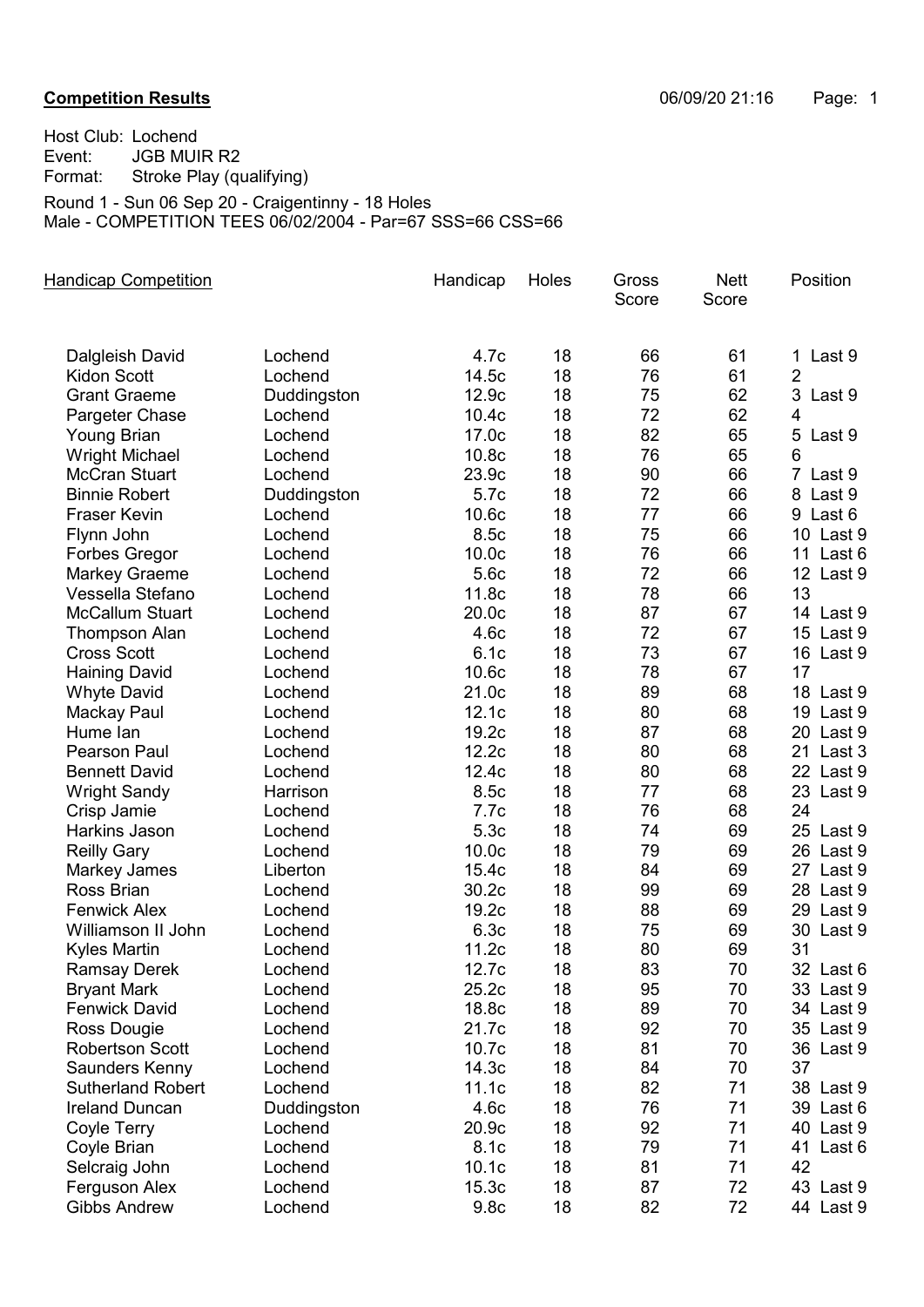## **Competition Results Competition Results Competition Results Competition Results Competition Results Competition Results Competition Results Competition Results Competition Results Competition Results C**

Host Club: Lochend Event: JGB MUIR R2 Format: Stroke Play (qualifying) Round 1 - Sun 06 Sep 20 - Craigentinny - 18 Holes Male - COMPETITION TEES 06/02/2004 - Par=67 SSS=66 CSS=66

| <b>Handicap Competition</b> |             | Handicap          | Holes | Gross<br>Score | <b>Nett</b><br>Score | Position                 |
|-----------------------------|-------------|-------------------|-------|----------------|----------------------|--------------------------|
| Dalgleish David             | Lochend     | 4.7c              | 18    | 66             | 61                   | 1<br>Last 9              |
| <b>Kidon Scott</b>          | Lochend     | 14.5c             | 18    | 76             | 61                   | $\overline{2}$           |
| <b>Grant Graeme</b>         | Duddingston | 12.9c             | 18    | 75             | 62                   | 3<br>Last 9              |
| Pargeter Chase              | Lochend     | 10.4 <sub>c</sub> | 18    | 72             | 62                   | $\overline{4}$           |
| <b>Young Brian</b>          | Lochend     | 17.0c             | 18    | 82             | 65                   | 5<br>Last 9              |
| <b>Wright Michael</b>       | Lochend     | 10.8 <sub>c</sub> | 18    | 76             | 65                   | 6                        |
| <b>McCran Stuart</b>        | Lochend     | 23.9c             | 18    | 90             | 66                   | $\overline{7}$<br>Last 9 |
| <b>Binnie Robert</b>        | Duddingston | 5.7c              | 18    | 72             | 66                   | 8 Last 9                 |
| <b>Fraser Kevin</b>         | Lochend     | 10.6 <sub>c</sub> | 18    | 77             | 66                   | 9 Last 6                 |
| Flynn John                  | Lochend     | 8.5c              | 18    | 75             | 66                   | 10 Last 9                |
| Forbes Gregor               | Lochend     | 10.0 <sub>c</sub> | 18    | 76             | 66                   | 11 Last 6                |
| <b>Markey Graeme</b>        | Lochend     | 5.6c              | 18    | 72             | 66                   | 12 Last 9                |
| Vessella Stefano            | Lochend     | 11.8c             | 18    | 78             | 66                   | 13                       |
| <b>McCallum Stuart</b>      | Lochend     | 20.0 <sub>c</sub> | 18    | 87             | 67                   | 14 Last 9                |
| <b>Thompson Alan</b>        | Lochend     | 4.6c              | 18    | 72             | 67                   | 15 Last 9                |
| <b>Cross Scott</b>          | Lochend     | 6.1c              | 18    | 73             | 67                   | 16 Last 9                |
| <b>Haining David</b>        | Lochend     | 10.6c             | 18    | 78             | 67                   | 17                       |
| <b>Whyte David</b>          | Lochend     | 21.0c             | 18    | 89             | 68                   | 18 Last 9                |
| Mackay Paul                 | Lochend     | 12.1c             | 18    | 80             | 68                   | 19 Last 9                |
| Hume lan                    | Lochend     | 19.2c             | 18    | 87             | 68                   | 20 Last 9                |
| <b>Pearson Paul</b>         | Lochend     | 12.2c             | 18    | 80             | 68                   | 21 Last 3                |
| <b>Bennett David</b>        | Lochend     | 12.4c             | 18    | 80             | 68                   | 22 Last 9                |
| <b>Wright Sandy</b>         | Harrison    | 8.5c              | 18    | 77             | 68                   | 23 Last 9                |
| Crisp Jamie                 | Lochend     | 7.7c              | 18    | 76             | 68                   | 24                       |
| Harkins Jason               | Lochend     | 5.3c              | 18    | 74             | 69                   | 25 Last 9                |
| <b>Reilly Gary</b>          | Lochend     | 10.0 <sub>c</sub> | 18    | 79             | 69                   | 26 Last 9                |
| Markey James                | Liberton    | 15.4c             | 18    | 84             | 69                   | 27 Last 9                |
| Ross Brian                  | Lochend     | 30.2c             | 18    | 99             | 69                   | 28 Last 9                |
| <b>Fenwick Alex</b>         | Lochend     | 19.2c             | 18    | 88             | 69                   | 29 Last 9                |
| Williamson II John          | Lochend     | 6.3c              | 18    | 75             | 69                   | 30 Last 9                |
| <b>Kyles Martin</b>         | Lochend     | 11.2c             | 18    | 80             | 69                   | 31                       |
| <b>Ramsay Derek</b>         | Lochend     | 12.7c             | 18    | 83             | 70                   | 32 Last 6                |
| <b>Bryant Mark</b>          | Lochend     | 25.2c             | 18    | 95             | 70                   | 33 Last 9                |
| <b>Fenwick David</b>        | Lochend     | 18.8c             | 18    | 89             | 70                   | 34 Last 9                |
| Ross Dougie                 | Lochend     | 21.7c             | 18    | 92             | 70                   | 35 Last 9                |
| <b>Robertson Scott</b>      | Lochend     | 10.7c             | 18    | 81             | 70                   | 36 Last 9                |
| Saunders Kenny              | Lochend     | 14.3c             | 18    | 84             | 70                   | 37                       |
| <b>Sutherland Robert</b>    | Lochend     | 11.1c             | 18    | 82             | 71                   | 38 Last 9                |
| <b>Ireland Duncan</b>       | Duddingston | 4.6c              | 18    | 76             | 71                   | 39 Last 6                |
| Coyle Terry                 | Lochend     | 20.9c             | 18    | 92             | 71                   | 40 Last 9                |
| Coyle Brian                 | Lochend     | 8.1c              | 18    | 79             | 71                   | 41 Last 6                |
| Selcraig John               | Lochend     | 10.1c             | 18    | 81             | 71                   | 42                       |
| Ferguson Alex               | Lochend     | 15.3c             | 18    | 87             | 72                   | 43 Last 9                |
| <b>Gibbs Andrew</b>         | Lochend     | 9.8 <sub>c</sub>  | 18    | 82             | 72                   | 44 Last 9                |